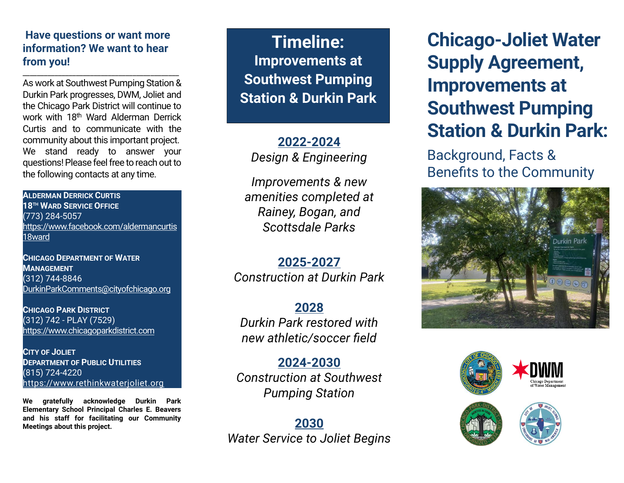## **Have questions or want more information? We want to hear from you!**

\_\_\_\_\_\_\_\_\_\_\_\_\_\_\_\_\_\_\_\_\_\_\_\_\_\_\_\_\_\_\_\_\_\_\_\_\_\_\_\_\_\_\_\_

As work at Southwest Pumping Station & Durkin Park progresses, DWM, Joliet and the Chicago Park District will continue to work with 18<sup>th</sup> Ward Alderman Derrick Curtis and to communicate with the community about this important project. We stand ready to answer your questions!Please feel free to reach out to the following contacts at any time.

**ALDERMAN DERRICK CURTIS 18TH WARD SERVICE OFFICE** (773) 284-5057 [https://www.facebook.com/aldermancurtis](https://www.facebook.com/aldermancurtis18ward) [18ward](https://www.facebook.com/aldermancurtis18ward)

**CHICAGO DEPARTMENT OF WATER MANAGEMENT** (312) 744-8846 [DurkinParkComments@cityofchicago.org](mailto:DurkinParkComments@cityofchicago.org)

**CHICAGO PARK DISTRICT** (312) 742 - PLAY (7529) [https://www.chicagoparkdistrict.com](https://www.chicagoparkdistrict.com/)

**CITY OF JOLIET DEPARTMENT OF PUBLIC UTILITIES** (815) 724-4220 [https://www.rethinkwaterjoliet.org](https://www.rethinkwaterjoliet.org/)

**We gratefully acknowledge Durkin Park Elementary School Principal Charles E. Beavers and his staff for facilitating our Community Meetings about this project.**

**Timeline: Improvements at Southwest Pumping Station & Durkin Park**

**2022-2024** *Design & Engineering*

*Improvements & new amenities completed at Rainey, Bogan, and Scottsdale Parks*

**2025-2027** *Construction at Durkin Park*

**2028** *Durkin Park restored with new athletic/soccer field*

**2024-2030** *Construction at Southwest Pumping Station* 

**2030** *Water Service to Joliet Begins*

**Chicago-Joliet Water Supply Agreement, Improvements at Southwest Pumping Station & Durkin Park:** 

Background, Facts & Benefits to the Community